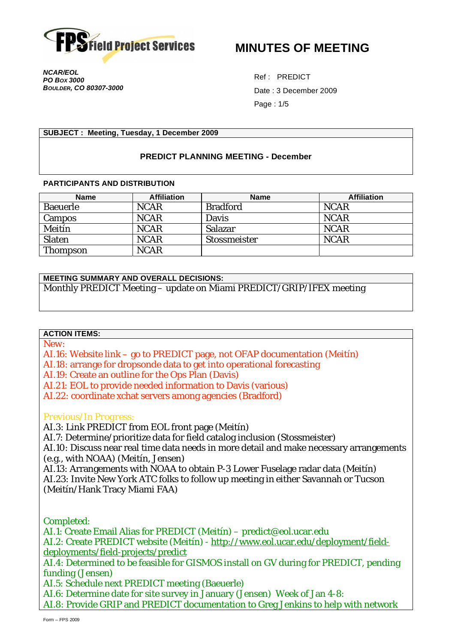

**MINUTES OF MEETING** 

*NCAR/EOL PO BOX 3000 BOULDER, CO 80307-3000* 

Ref : PREDICT Date : 3 December 2009 Page : 1/5

#### **SUBJECT : Meeting, Tuesday, 1 December 2009**

## **PREDICT PLANNING MEETING - December**

#### **PARTICIPANTS AND DISTRIBUTION**

| <b>Name</b> | <b>Affiliation</b> | <b>Name</b>     | <b>Affiliation</b> |
|-------------|--------------------|-----------------|--------------------|
| Baeuerle    | <b>NCAR</b>        | <b>Bradford</b> | <b>NCAR</b>        |
| Campos      | <b>NCAR</b>        | Davis           | <b>NCAR</b>        |
| Meitín      | <b>NCAR</b>        | Salazar         | <b>NCAR</b>        |
| Slaten      | <b>NCAR</b>        | Stossmeister    | <b>NCAR</b>        |
| Thompson    | <b>NCAR</b>        |                 |                    |

#### **MEETING SUMMARY AND OVERALL DECISIONS:**

Monthly PREDICT Meeting – update on Miami PREDICT/GRIP/IFEX meeting

### **ACTION ITEMS:**

*New:* 

AI.16: Website link – go to PREDICT page, not OFAP documentation (Meitín)

AI.18: arrange for dropsonde data to get into operational forecasting

AI.19: Create an outline for the Ops Plan (Davis)

AI.21: EOL to provide needed information to Davis (various)

AI.22: coordinate xchat servers among agencies (Bradford)

### *Previous/In Progress:*

AI.3: Link PREDICT from EOL front page (Meitín)

AI.7: Determine/prioritize data for field catalog inclusion (Stossmeister)

AI.10: Discuss near real time data needs in more detail and make necessary arrangements (e.g., with NOAA) (Meitín, Jensen)

AI.13: Arrangements with NOAA to obtain P-3 Lower Fuselage radar data (Meitín) AI.23: Invite New York ATC folks to follow up meeting in either Savannah or Tucson (Meitín/Hank Tracy Miami FAA)

*Completed:* 

AI.1: Create Email Alias for PREDICT (Meitín) – predict@eol.ucar.edu AI.2: Create PREDICT website (Meitín) - http://www.eol.ucar.edu/deployment/fielddeployments/field-projects/predict AI.4: Determined to be feasible for GISMOS install on GV during for PREDICT, pending funding (Jensen) AI.5: Schedule next PREDICT meeting (Baeuerle) AI.6: Determine date for site survey in January (Jensen) Week of Jan 4-8:

AI.8: Provide GRIP and PREDICT documentation to Greg Jenkins to help with network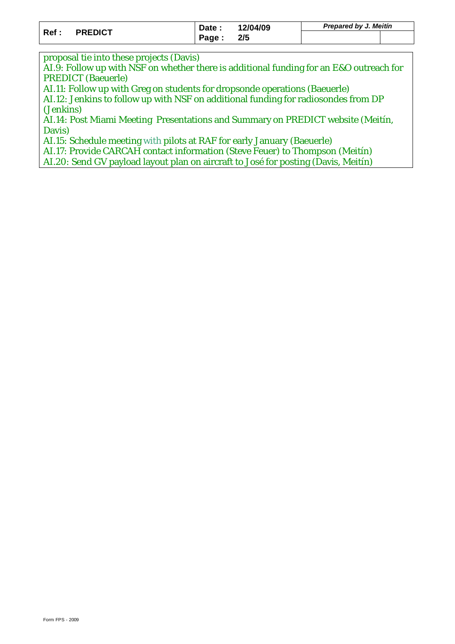| Ref: | <b>PREDICT</b> | Date: | 12/04/09<br>2/5 | Prepared by J. Meitin |  |
|------|----------------|-------|-----------------|-----------------------|--|
|      |                | Page: |                 |                       |  |

proposal tie into these projects (Davis)

AI.9: Follow up with NSF on whether there is additional funding for an E&O outreach for PREDICT (Baeuerle)

AI.11: Follow up with Greg on students for dropsonde operations (Baeuerle)

AI.12: Jenkins to follow up with NSF on additional funding for radiosondes from DP (Jenkins)

AI.14: Post Miami Meeting Presentations and Summary on PREDICT website (Meitín, Davis)

AI.15: Schedule meeting with pilots at RAF for early January (Baeuerle)

AI.17: Provide CARCAH contact information (Steve Feuer) to Thompson (Meitín)

AI.20: Send GV payload layout plan on aircraft to José for posting (Davis, Meitín)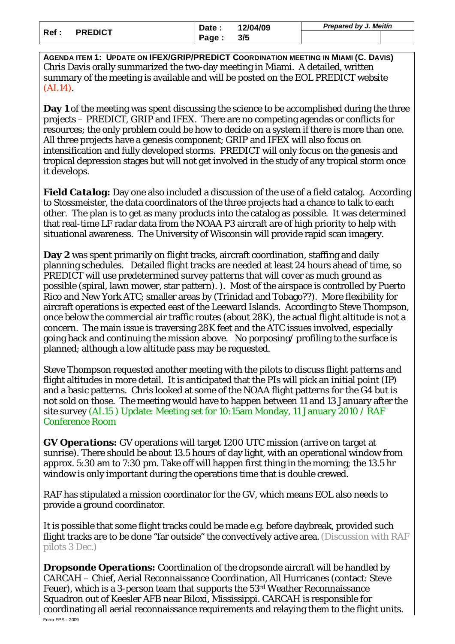| Ref : | <b>PREDICT</b> | Date: | 12/04/09<br>3/5 | Prepared by J. Meitin |  |
|-------|----------------|-------|-----------------|-----------------------|--|
|       |                | Page: |                 |                       |  |

**AGENDA ITEM 1: UPDATE ON IFEX/GRIP/PREDICT COORDINATION MEETING IN MIAMI (C. DAVIS)**  Chris Davis orally summarized the two-day meeting in Miami. A detailed, written summary of the meeting is available and will be posted on the EOL PREDICT website (AI.14).

**Day 1** of the meeting was spent discussing the science to be accomplished during the three projects – PREDICT, GRIP and IFEX. There are no competing agendas or conflicts for resources; the only problem could be how to decide on a system if there is more than one. All three projects have a genesis component; GRIP and IFEX will also focus on intensification and fully developed storms. PREDICT will only focus on the genesis and tropical depression stages but will not get involved in the study of any tropical storm once it develops.

*Field Catalog:* Day one also included a discussion of the use of a field catalog. According to Stossmeister, the data coordinators of the three projects had a chance to talk to each other. The plan is to get as many products into the catalog as possible. It was determined that real-time LF radar data from the NOAA P3 aircraft are of high priority to help with situational awareness. The University of Wisconsin will provide rapid scan imagery.

**Day 2** was spent primarily on flight tracks, aircraft coordination, staffing and daily planning schedules. Detailed flight tracks are needed at least 24 hours ahead of time, so PREDICT will use predetermined survey patterns that will cover as much ground as possible (spiral, lawn mower, star pattern). ). Most of the airspace is controlled by Puerto Rico and New York ATC; smaller areas by (Trinidad and Tobago??). More flexibility for aircraft operations is expected east of the Leeward Islands. According to Steve Thompson, once below the commercial air traffic routes (about 28K), the actual flight altitude is not a concern. The main issue is traversing 28K feet and the ATC issues involved, especially going back and continuing the mission above. No porposing/ profiling to the surface is planned; although a low altitude pass may be requested.

Steve Thompson requested another meeting with the pilots to discuss flight patterns and flight altitudes in more detail. It is anticipated that the PIs will pick an initial point (IP) and a basic patterns. Chris looked at some of the NOAA flight patterns for the G4 but is not sold on those. The meeting would have to happen between 11 and 13 January after the site survey (AI.15 ) Update: Meeting set for 10:15am Monday, 11 January 2010 / RAF Conference Room

*GV Operations:* GV operations will target 1200 UTC mission (arrive on target at sunrise). There should be about 13.5 hours of day light, with an operational window from approx. 5:30 am to 7:30 pm. Take off will happen first thing in the morning; the 13.5 hr window is only important during the operations time that is double crewed.

RAF has stipulated a mission coordinator for the GV, which means EOL also needs to provide a ground coordinator.

It is possible that some flight tracks could be made e.g. before daybreak, provided such flight tracks are to be done "far outside" the convectively active area. (Discussion with RAF pilots 3 Dec.)

*Dropsonde Operations:* Coordination of the dropsonde aircraft will be handled by CARCAH – Chief, Aerial Reconnaissance Coordination, All Hurricanes (contact: Steve Feuer), which is a 3-person team that supports the 53rd Weather Reconnaissance Squadron out of Keesler AFB near Biloxi, Mississippi. CARCAH is responsible for coordinating all aerial reconnaissance requirements and relaying them to the flight units.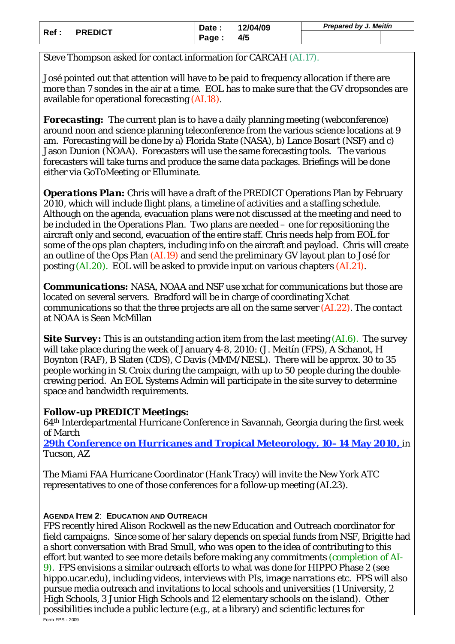| Ref: | <b>PREDICT</b> | Date: | 12/04/09<br>4/5 | <b>Prepared by J. Meitin</b> |  |
|------|----------------|-------|-----------------|------------------------------|--|
|      |                | Page: |                 |                              |  |

Steve Thompson asked for contact information for CARCAH (AI.17).

José pointed out that attention will have to be paid to frequency allocation if there are more than 7 sondes in the air at a time. EOL has to make sure that the GV dropsondes are available for operational forecasting (AI.18).

*Forecasting:* The current plan is to have a daily planning meeting (webconference) around noon and science planning teleconference from the various science locations at 9 am. Forecasting will be done by a) Florida State (NASA), b) Lance Bosart (NSF) and c) Jason Dunion (NOAA). Forecasters will use the same forecasting tools. The various forecasters will take turns and produce the same data packages. Briefings will be done either via *GoToMeeting* or *Elluminate*.

*Operations Plan:* Chris will have a draft of the PREDICT Operations Plan by February 2010, which will include flight plans, a timeline of activities and a staffing schedule. Although on the agenda, evacuation plans were not discussed at the meeting and need to be included in the Operations Plan. Two plans are needed – one for repositioning the aircraft only and second, evacuation of the entire staff. Chris needs help from EOL for some of the ops plan chapters, including info on the aircraft and payload. Chris will create an outline of the Ops Plan (AI.19) and send the preliminary GV layout plan to José for posting (AI.20). EOL will be asked to provide input on various chapters (AI.21).

*Communications:* NASA, NOAA and NSF use xchat for communications but those are located on several servers. Bradford will be in charge of coordinating Xchat communications so that the three projects are all on the same server (AI.22). The contact at NOAA is Sean McMillan

**Site Survey:** This is an outstanding action item from the last meeting (AI.6). The survey will take place during the week of January 4-8, 2010: (J. Meitín (FPS), A Schanot, H Boynton (RAF), B Slaten (CDS), C Davis (MMM/NESL). There will be approx. 30 to 35 people working in St Croix during the campaign, with up to 50 people during the doublecrewing period. An EOL Systems Admin will participate in the site survey to determine space and bandwidth requirements.

# *Follow-up PREDICT Meetings:*

64th Interdepartmental Hurricane Conference in Savannah, Georgia during the first week of March

**29th Conference on Hurricanes and Tropical Meteorology, 10–14 May 2010,** in Tucson, AZ

The Miami FAA Hurricane Coordinator (Hank Tracy) will invite the New York ATC representatives to one of those conferences for a follow-up meeting (AI.23).

# **AGENDA ITEM 2**: **EDUCATION AND OUTREACH**

FPS recently hired Alison Rockwell as the new Education and Outreach coordinator for field campaigns. Since some of her salary depends on special funds from NSF, Brigitte had a short conversation with Brad Smull, who was open to the idea of contributing to this effort but wanted to see more details before making any commitments (completion of AI-9). FPS envisions a similar outreach efforts to what was done for HIPPO Phase 2 (see hippo.ucar.edu), including videos, interviews with PIs, image narrations etc. FPS will also pursue media outreach and invitations to local schools and universities (1 University, 2 High Schools, 3 Junior High Schools and 12 elementary schools on the island). Other possibilities include a public lecture (e.g., at a library) and scientific lectures for